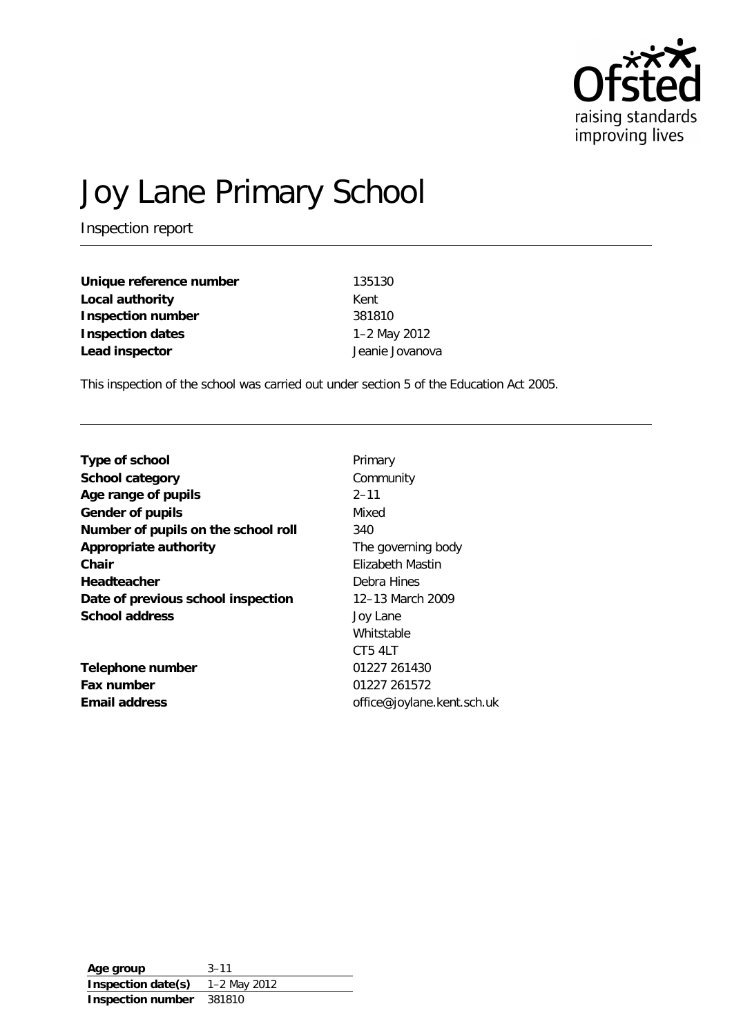

# Joy Lane Primary School

Inspection report

| Unique reference number | 135130          |
|-------------------------|-----------------|
| Local authority         | Kent            |
| Inspection number       | 381810          |
| <b>Inspection dates</b> | 1-2 May 2012    |
| Lead inspector          | Jeanie Jovanova |

This inspection of the school was carried out under section 5 of the Education Act 2005.

| The governing body         |
|----------------------------|
|                            |
|                            |
| 12–13 March 2009           |
|                            |
|                            |
|                            |
|                            |
|                            |
| office@joylane.kent.sch.uk |
|                            |

**Age group** 3–11 **Inspection date(s)** 1–2 May 2012 **Inspection number** 381810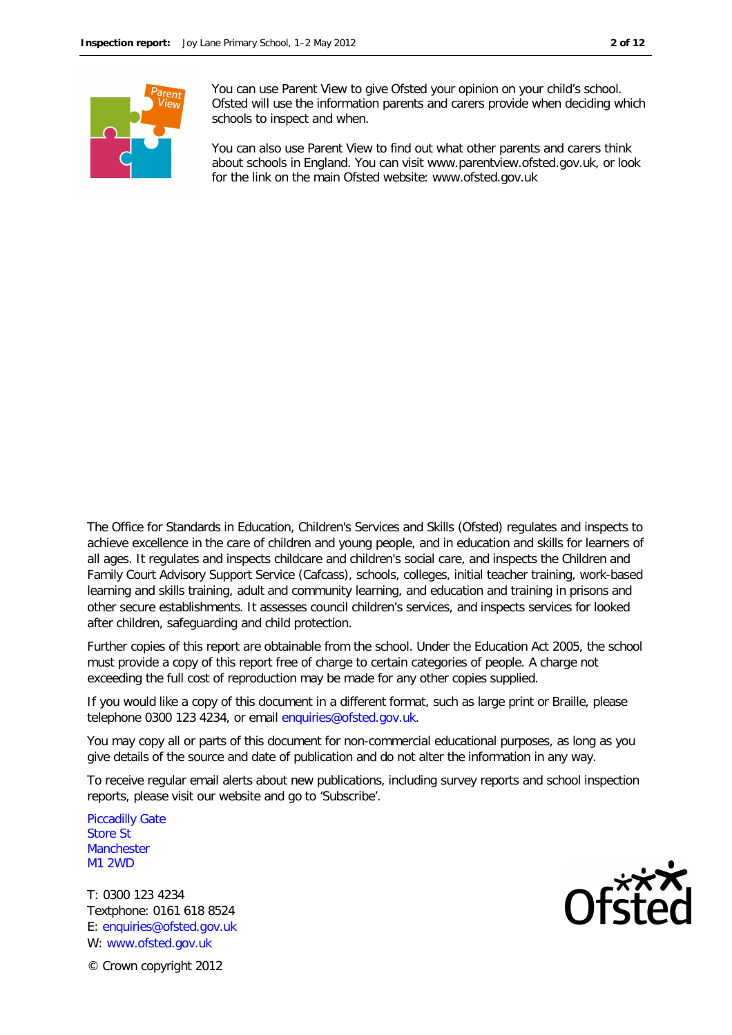

You can use Parent View to give Ofsted your opinion on your child's school. Ofsted will use the information parents and carers provide when deciding which schools to inspect and when.

You can also use Parent View to find out what other parents and carers think about schools in England. You can visit www.parentview.ofsted.gov.uk, or look for the link on the main Ofsted website: www.ofsted.gov.uk

The Office for Standards in Education, Children's Services and Skills (Ofsted) regulates and inspects to achieve excellence in the care of children and young people, and in education and skills for learners of all ages. It regulates and inspects childcare and children's social care, and inspects the Children and Family Court Advisory Support Service (Cafcass), schools, colleges, initial teacher training, work-based learning and skills training, adult and community learning, and education and training in prisons and other secure establishments. It assesses council children's services, and inspects services for looked after children, safeguarding and child protection.

Further copies of this report are obtainable from the school. Under the Education Act 2005, the school must provide a copy of this report free of charge to certain categories of people. A charge not exceeding the full cost of reproduction may be made for any other copies supplied.

If you would like a copy of this document in a different format, such as large print or Braille, please telephone 0300 123 4234, or email enquiries@ofsted.gov.uk.

You may copy all or parts of this document for non-commercial educational purposes, as long as you give details of the source and date of publication and do not alter the information in any way.

To receive regular email alerts about new publications, including survey reports and school inspection reports, please visit our website and go to 'Subscribe'.

Piccadilly Gate Store St **Manchester** M1 2WD

T: 0300 123 4234 Textphone: 0161 618 8524 E: enquiries@ofsted.gov.uk W: www.ofsted.gov.uk



© Crown copyright 2012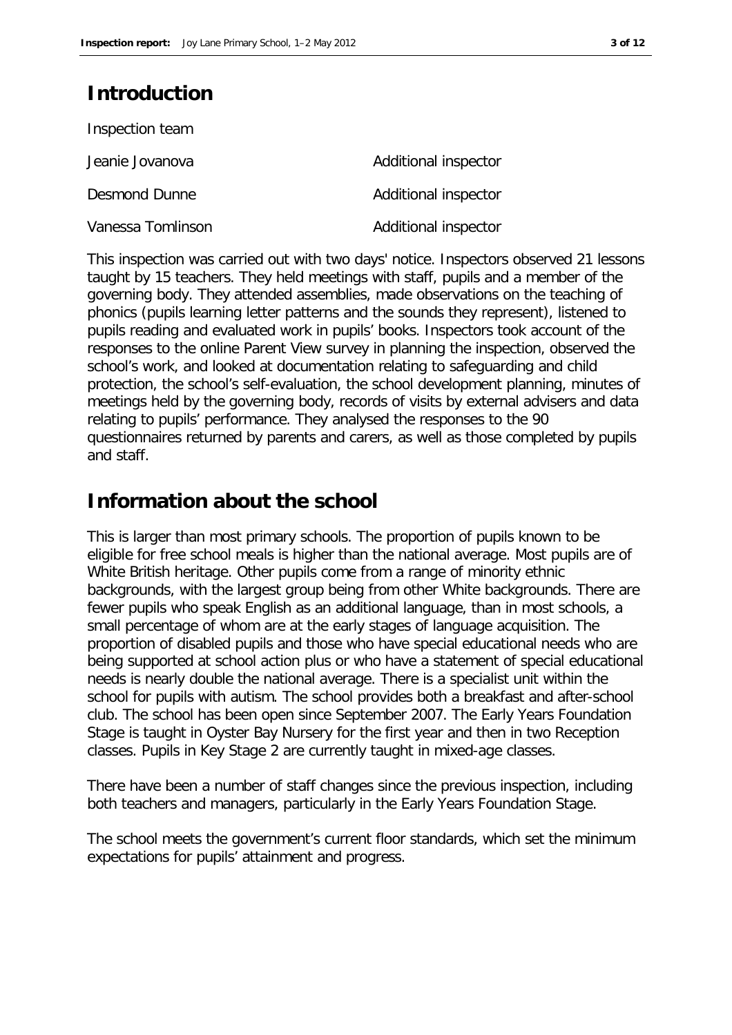## **Introduction**

| Inspection team   |                      |
|-------------------|----------------------|
| Jeanie Jovanova   | Additional inspector |
| Desmond Dunne     | Additional inspector |
| Vanessa Tomlinson | Additional inspector |

This inspection was carried out with two days' notice. Inspectors observed 21 lessons taught by 15 teachers. They held meetings with staff, pupils and a member of the governing body. They attended assemblies, made observations on the teaching of phonics (pupils learning letter patterns and the sounds they represent), listened to pupils reading and evaluated work in pupils' books. Inspectors took account of the responses to the online Parent View survey in planning the inspection, observed the school's work, and looked at documentation relating to safeguarding and child protection, the school's self-evaluation, the school development planning, minutes of meetings held by the governing body, records of visits by external advisers and data relating to pupils' performance. They analysed the responses to the 90 questionnaires returned by parents and carers, as well as those completed by pupils and staff.

## **Information about the school**

This is larger than most primary schools. The proportion of pupils known to be eligible for free school meals is higher than the national average. Most pupils are of White British heritage. Other pupils come from a range of minority ethnic backgrounds, with the largest group being from other White backgrounds. There are fewer pupils who speak English as an additional language, than in most schools, a small percentage of whom are at the early stages of language acquisition. The proportion of disabled pupils and those who have special educational needs who are being supported at school action plus or who have a statement of special educational needs is nearly double the national average. There is a specialist unit within the school for pupils with autism. The school provides both a breakfast and after-school club. The school has been open since September 2007. The Early Years Foundation Stage is taught in Oyster Bay Nursery for the first year and then in two Reception classes. Pupils in Key Stage 2 are currently taught in mixed-age classes.

There have been a number of staff changes since the previous inspection, including both teachers and managers, particularly in the Early Years Foundation Stage.

The school meets the government's current floor standards, which set the minimum expectations for pupils' attainment and progress.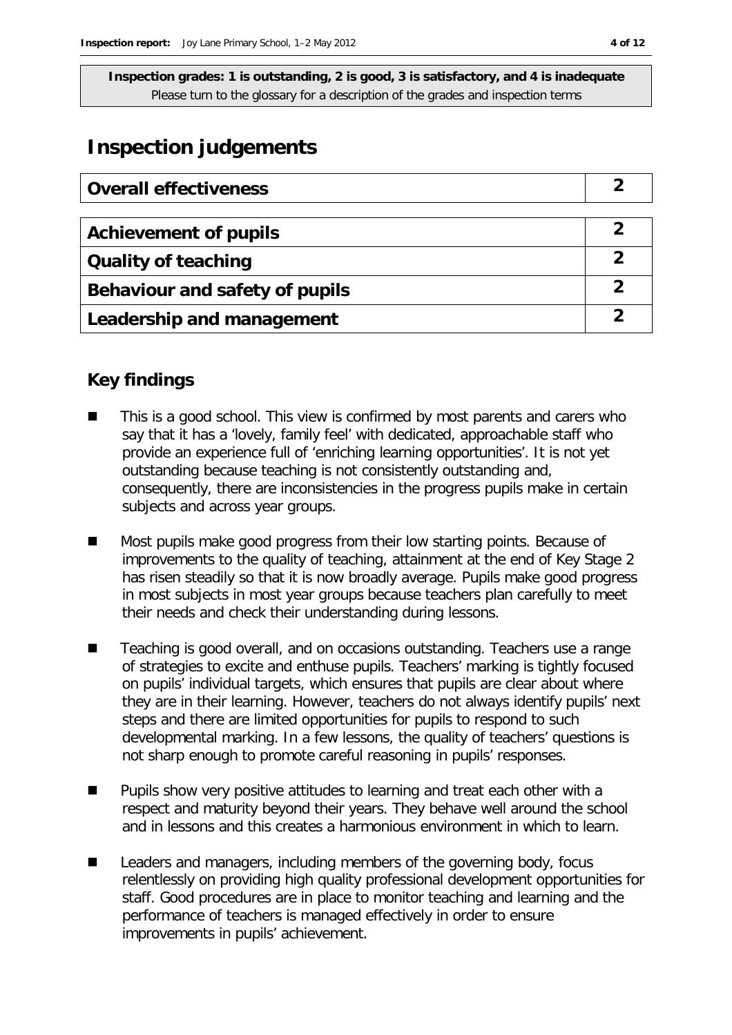## **Inspection judgements**

| <b>Overall effectiveness</b>   |  |
|--------------------------------|--|
|                                |  |
| <b>Achievement of pupils</b>   |  |
| <b>Quality of teaching</b>     |  |
| Behaviour and safety of pupils |  |
| Leadership and management      |  |

## **Key findings**

- This is a good school. This view is confirmed by most parents and carers who say that it has a 'lovely, family feel' with dedicated, approachable staff who provide an experience full of 'enriching learning opportunities'. It is not yet outstanding because teaching is not consistently outstanding and, consequently, there are inconsistencies in the progress pupils make in certain subjects and across year groups.
- Most pupils make good progress from their low starting points. Because of improvements to the quality of teaching, attainment at the end of Key Stage 2 has risen steadily so that it is now broadly average. Pupils make good progress in most subjects in most year groups because teachers plan carefully to meet their needs and check their understanding during lessons.
- Teaching is good overall, and on occasions outstanding. Teachers use a range of strategies to excite and enthuse pupils. Teachers' marking is tightly focused on pupils' individual targets, which ensures that pupils are clear about where they are in their learning. However, teachers do not always identify pupils' next steps and there are limited opportunities for pupils to respond to such developmental marking. In a few lessons, the quality of teachers' questions is not sharp enough to promote careful reasoning in pupils' responses.
- Pupils show very positive attitudes to learning and treat each other with a respect and maturity beyond their years. They behave well around the school and in lessons and this creates a harmonious environment in which to learn.
- Leaders and managers, including members of the governing body, focus relentlessly on providing high quality professional development opportunities for staff. Good procedures are in place to monitor teaching and learning and the performance of teachers is managed effectively in order to ensure improvements in pupils' achievement.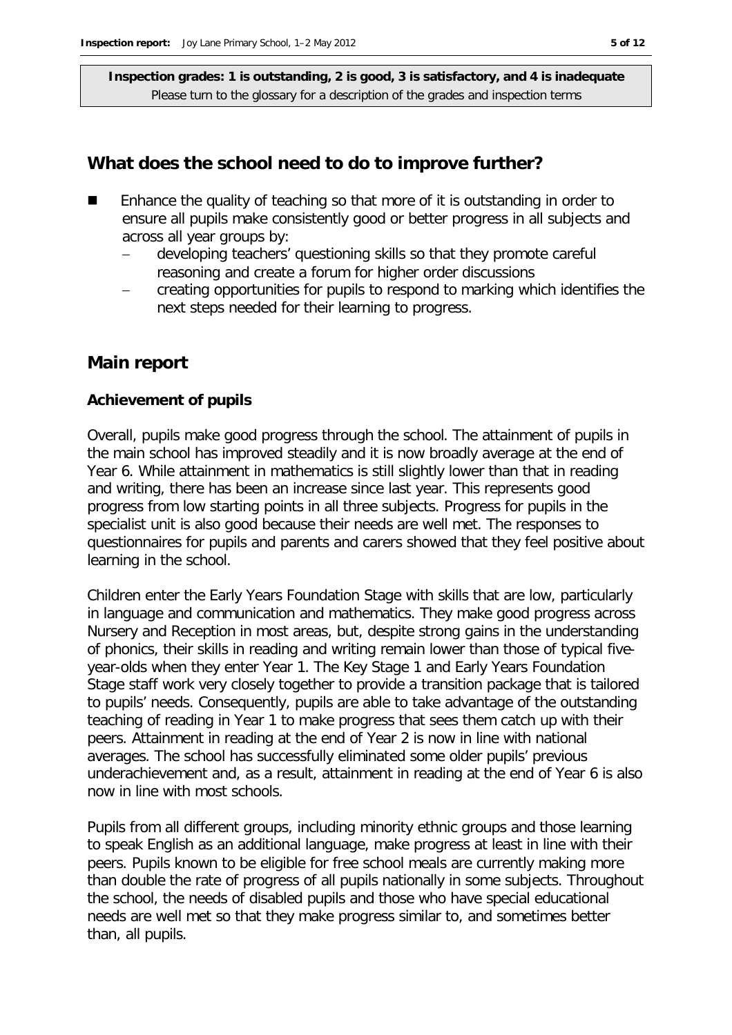#### **What does the school need to do to improve further?**

- Enhance the quality of teaching so that more of it is outstanding in order to ensure all pupils make consistently good or better progress in all subjects and across all year groups by:
	- developing teachers' questioning skills so that they promote careful reasoning and create a forum for higher order discussions
	- creating opportunities for pupils to respond to marking which identifies the next steps needed for their learning to progress.

### **Main report**

#### **Achievement of pupils**

Overall, pupils make good progress through the school. The attainment of pupils in the main school has improved steadily and it is now broadly average at the end of Year 6. While attainment in mathematics is still slightly lower than that in reading and writing, there has been an increase since last year. This represents good progress from low starting points in all three subjects. Progress for pupils in the specialist unit is also good because their needs are well met. The responses to questionnaires for pupils and parents and carers showed that they feel positive about learning in the school.

Children enter the Early Years Foundation Stage with skills that are low, particularly in language and communication and mathematics. They make good progress across Nursery and Reception in most areas, but, despite strong gains in the understanding of phonics, their skills in reading and writing remain lower than those of typical fiveyear-olds when they enter Year 1. The Key Stage 1 and Early Years Foundation Stage staff work very closely together to provide a transition package that is tailored to pupils' needs. Consequently, pupils are able to take advantage of the outstanding teaching of reading in Year 1 to make progress that sees them catch up with their peers. Attainment in reading at the end of Year 2 is now in line with national averages. The school has successfully eliminated some older pupils' previous underachievement and, as a result, attainment in reading at the end of Year 6 is also now in line with most schools.

Pupils from all different groups, including minority ethnic groups and those learning to speak English as an additional language, make progress at least in line with their peers. Pupils known to be eligible for free school meals are currently making more than double the rate of progress of all pupils nationally in some subjects. Throughout the school, the needs of disabled pupils and those who have special educational needs are well met so that they make progress similar to, and sometimes better than, all pupils.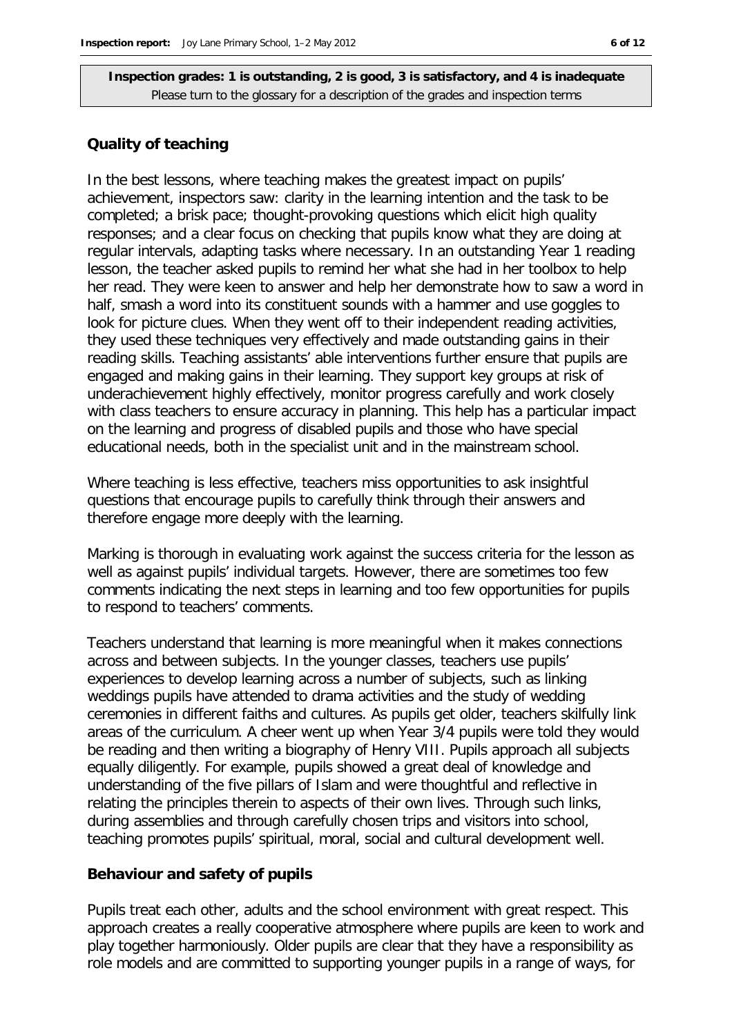#### **Quality of teaching**

In the best lessons, where teaching makes the greatest impact on pupils' achievement, inspectors saw: clarity in the learning intention and the task to be completed; a brisk pace; thought-provoking questions which elicit high quality responses; and a clear focus on checking that pupils know what they are doing at regular intervals, adapting tasks where necessary. In an outstanding Year 1 reading lesson, the teacher asked pupils to remind her what she had in her toolbox to help her read. They were keen to answer and help her demonstrate how to saw a word in half, smash a word into its constituent sounds with a hammer and use goggles to look for picture clues. When they went off to their independent reading activities, they used these techniques very effectively and made outstanding gains in their reading skills. Teaching assistants' able interventions further ensure that pupils are engaged and making gains in their learning. They support key groups at risk of underachievement highly effectively, monitor progress carefully and work closely with class teachers to ensure accuracy in planning. This help has a particular impact on the learning and progress of disabled pupils and those who have special educational needs, both in the specialist unit and in the mainstream school.

Where teaching is less effective, teachers miss opportunities to ask insightful questions that encourage pupils to carefully think through their answers and therefore engage more deeply with the learning.

Marking is thorough in evaluating work against the success criteria for the lesson as well as against pupils' individual targets. However, there are sometimes too few comments indicating the next steps in learning and too few opportunities for pupils to respond to teachers' comments.

Teachers understand that learning is more meaningful when it makes connections across and between subjects. In the younger classes, teachers use pupils' experiences to develop learning across a number of subjects, such as linking weddings pupils have attended to drama activities and the study of wedding ceremonies in different faiths and cultures. As pupils get older, teachers skilfully link areas of the curriculum. A cheer went up when Year 3/4 pupils were told they would be reading and then writing a biography of Henry VIII. Pupils approach all subjects equally diligently. For example, pupils showed a great deal of knowledge and understanding of the five pillars of Islam and were thoughtful and reflective in relating the principles therein to aspects of their own lives. Through such links, during assemblies and through carefully chosen trips and visitors into school, teaching promotes pupils' spiritual, moral, social and cultural development well.

#### **Behaviour and safety of pupils**

Pupils treat each other, adults and the school environment with great respect. This approach creates a really cooperative atmosphere where pupils are keen to work and play together harmoniously. Older pupils are clear that they have a responsibility as role models and are committed to supporting younger pupils in a range of ways, for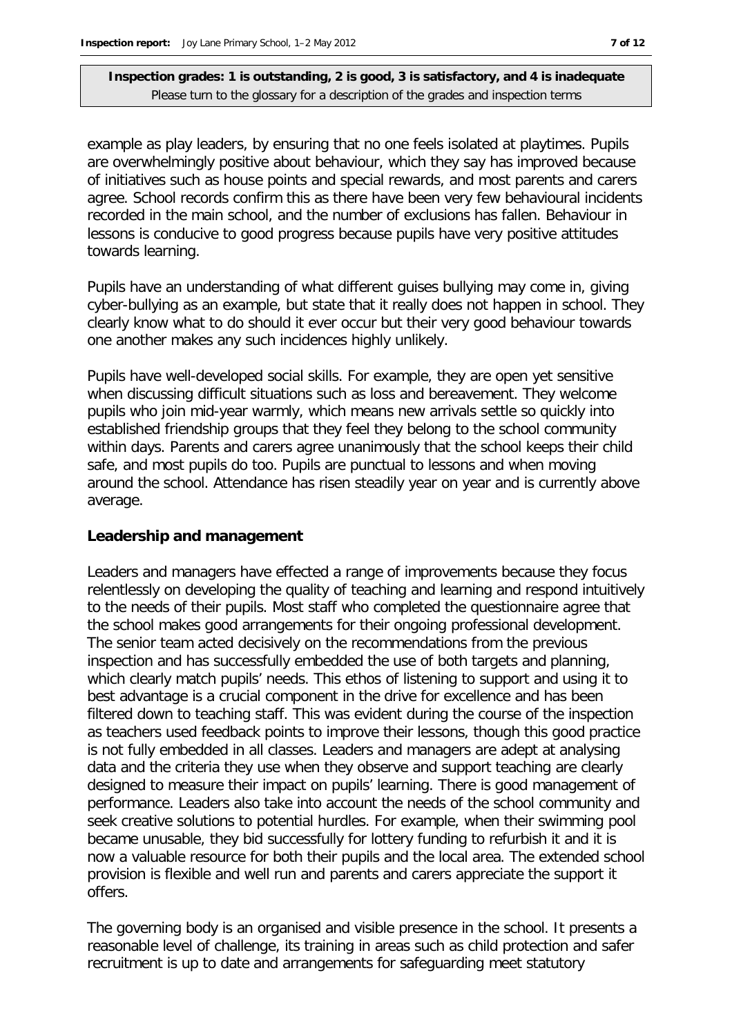example as play leaders, by ensuring that no one feels isolated at playtimes. Pupils are overwhelmingly positive about behaviour, which they say has improved because of initiatives such as house points and special rewards, and most parents and carers agree. School records confirm this as there have been very few behavioural incidents recorded in the main school, and the number of exclusions has fallen. Behaviour in lessons is conducive to good progress because pupils have very positive attitudes towards learning.

Pupils have an understanding of what different guises bullying may come in, giving cyber-bullying as an example, but state that it really does not happen in school. They clearly know what to do should it ever occur but their very good behaviour towards one another makes any such incidences highly unlikely.

Pupils have well-developed social skills. For example, they are open yet sensitive when discussing difficult situations such as loss and bereavement. They welcome pupils who join mid-year warmly, which means new arrivals settle so quickly into established friendship groups that they feel they belong to the school community within days. Parents and carers agree unanimously that the school keeps their child safe, and most pupils do too. Pupils are punctual to lessons and when moving around the school. Attendance has risen steadily year on year and is currently above average.

#### **Leadership and management**

Leaders and managers have effected a range of improvements because they focus relentlessly on developing the quality of teaching and learning and respond intuitively to the needs of their pupils. Most staff who completed the questionnaire agree that the school makes good arrangements for their ongoing professional development. The senior team acted decisively on the recommendations from the previous inspection and has successfully embedded the use of both targets and planning, which clearly match pupils' needs. This ethos of listening to support and using it to best advantage is a crucial component in the drive for excellence and has been filtered down to teaching staff. This was evident during the course of the inspection as teachers used feedback points to improve their lessons, though this good practice is not fully embedded in all classes. Leaders and managers are adept at analysing data and the criteria they use when they observe and support teaching are clearly designed to measure their impact on pupils' learning. There is good management of performance. Leaders also take into account the needs of the school community and seek creative solutions to potential hurdles. For example, when their swimming pool became unusable, they bid successfully for lottery funding to refurbish it and it is now a valuable resource for both their pupils and the local area. The extended school provision is flexible and well run and parents and carers appreciate the support it offers.

The governing body is an organised and visible presence in the school. It presents a reasonable level of challenge, its training in areas such as child protection and safer recruitment is up to date and arrangements for safeguarding meet statutory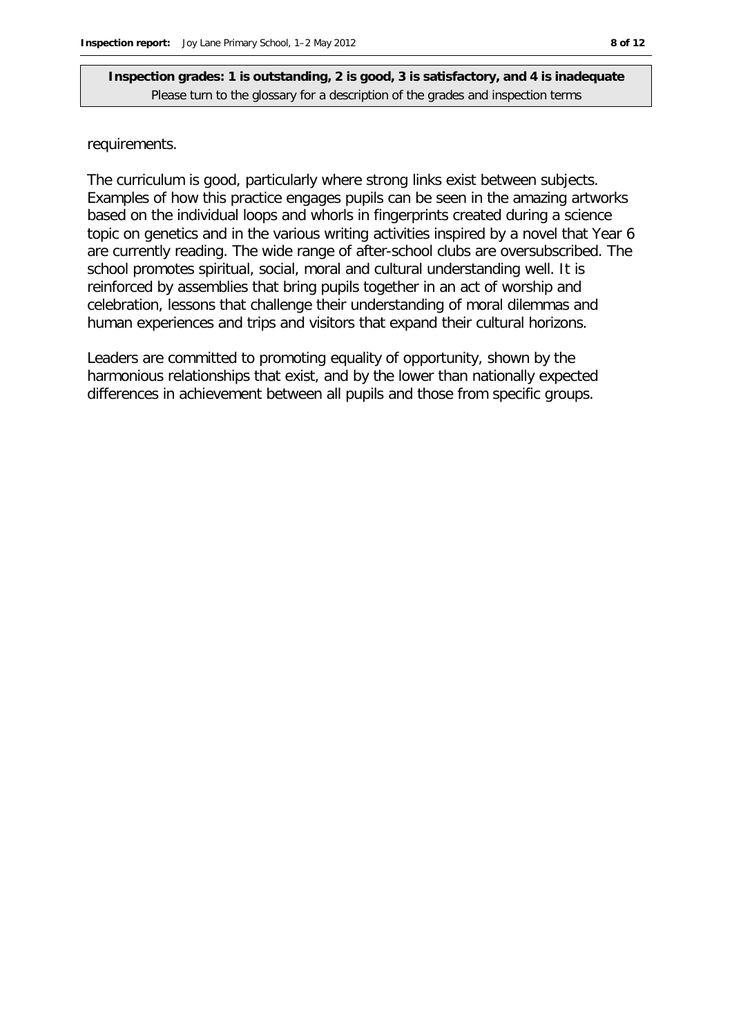#### requirements.

The curriculum is good, particularly where strong links exist between subjects. Examples of how this practice engages pupils can be seen in the amazing artworks based on the individual loops and whorls in fingerprints created during a science topic on genetics and in the various writing activities inspired by a novel that Year 6 are currently reading. The wide range of after-school clubs are oversubscribed. The school promotes spiritual, social, moral and cultural understanding well. It is reinforced by assemblies that bring pupils together in an act of worship and celebration, lessons that challenge their understanding of moral dilemmas and human experiences and trips and visitors that expand their cultural horizons.

Leaders are committed to promoting equality of opportunity, shown by the harmonious relationships that exist, and by the lower than nationally expected differences in achievement between all pupils and those from specific groups.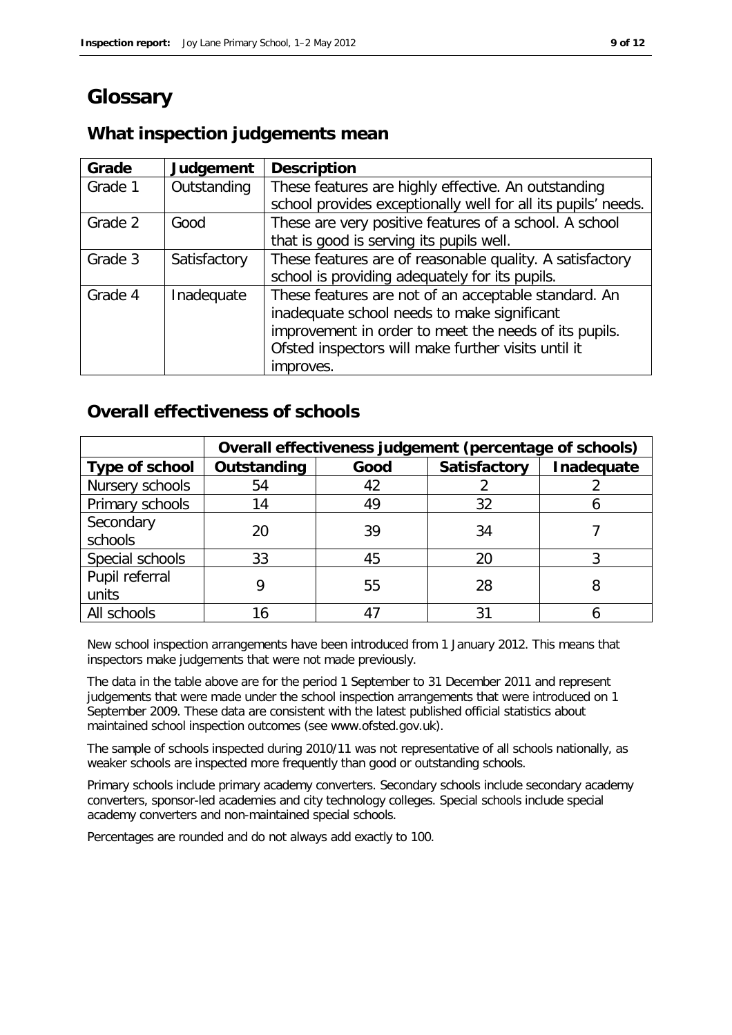## **Glossary**

## **What inspection judgements mean**

| Grade   | Judgement    | <b>Description</b>                                            |
|---------|--------------|---------------------------------------------------------------|
| Grade 1 | Outstanding  | These features are highly effective. An outstanding           |
|         |              | school provides exceptionally well for all its pupils' needs. |
| Grade 2 | Good         | These are very positive features of a school. A school        |
|         |              | that is good is serving its pupils well.                      |
| Grade 3 | Satisfactory | These features are of reasonable quality. A satisfactory      |
|         |              | school is providing adequately for its pupils.                |
| Grade 4 | Inadequate   | These features are not of an acceptable standard. An          |
|         |              | inadequate school needs to make significant                   |
|         |              | improvement in order to meet the needs of its pupils.         |
|         |              | Ofsted inspectors will make further visits until it           |
|         |              | improves.                                                     |

## **Overall effectiveness of schools**

|                         | Overall effectiveness judgement (percentage of schools) |      |              |            |
|-------------------------|---------------------------------------------------------|------|--------------|------------|
| Type of school          | Outstanding                                             | Good | Satisfactory | Inadequate |
| Nursery schools         | 54                                                      | 42   |              |            |
| Primary schools         | 14                                                      | 49   | 32           |            |
| Secondary<br>schools    | 20                                                      | 39   | 34           |            |
| Special schools         | 33                                                      | 45   | 20           |            |
| Pupil referral<br>units |                                                         | 55   | 28           | 8          |
| All schools             |                                                         |      | 31           |            |

New school inspection arrangements have been introduced from 1 January 2012. This means that inspectors make judgements that were not made previously.

The data in the table above are for the period 1 September to 31 December 2011 and represent judgements that were made under the school inspection arrangements that were introduced on 1 September 2009. These data are consistent with the latest published official statistics about maintained school inspection outcomes (see www.ofsted.gov.uk).

The sample of schools inspected during 2010/11 was not representative of all schools nationally, as weaker schools are inspected more frequently than good or outstanding schools.

Primary schools include primary academy converters. Secondary schools include secondary academy converters, sponsor-led academies and city technology colleges. Special schools include special academy converters and non-maintained special schools.

Percentages are rounded and do not always add exactly to 100.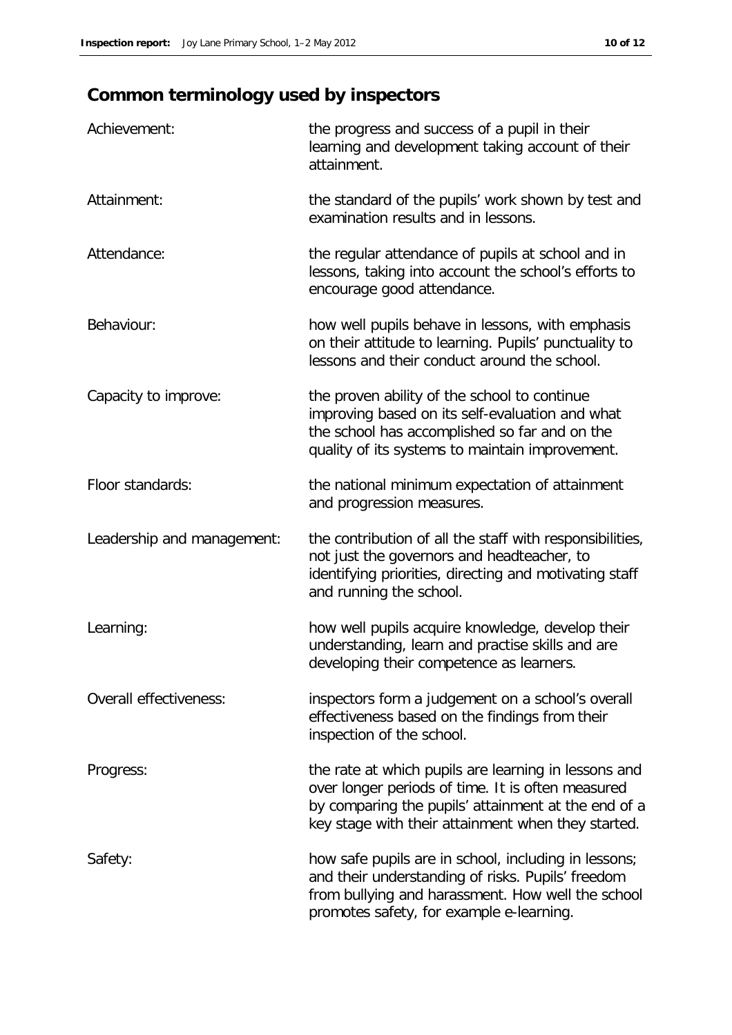## **Common terminology used by inspectors**

| Achievement:               | the progress and success of a pupil in their<br>learning and development taking account of their<br>attainment.                                                                                                        |
|----------------------------|------------------------------------------------------------------------------------------------------------------------------------------------------------------------------------------------------------------------|
| Attainment:                | the standard of the pupils' work shown by test and<br>examination results and in lessons.                                                                                                                              |
| Attendance:                | the regular attendance of pupils at school and in<br>lessons, taking into account the school's efforts to<br>encourage good attendance.                                                                                |
| Behaviour:                 | how well pupils behave in lessons, with emphasis<br>on their attitude to learning. Pupils' punctuality to<br>lessons and their conduct around the school.                                                              |
| Capacity to improve:       | the proven ability of the school to continue<br>improving based on its self-evaluation and what<br>the school has accomplished so far and on the<br>quality of its systems to maintain improvement.                    |
| Floor standards:           | the national minimum expectation of attainment<br>and progression measures.                                                                                                                                            |
| Leadership and management: | the contribution of all the staff with responsibilities,<br>not just the governors and headteacher, to<br>identifying priorities, directing and motivating staff<br>and running the school.                            |
| Learning:                  | how well pupils acquire knowledge, develop their<br>understanding, learn and practise skills and are<br>developing their competence as learners.                                                                       |
| Overall effectiveness:     | inspectors form a judgement on a school's overall<br>effectiveness based on the findings from their<br>inspection of the school.                                                                                       |
| Progress:                  | the rate at which pupils are learning in lessons and<br>over longer periods of time. It is often measured<br>by comparing the pupils' attainment at the end of a<br>key stage with their attainment when they started. |
| Safety:                    | how safe pupils are in school, including in lessons;<br>and their understanding of risks. Pupils' freedom<br>from bullying and harassment. How well the school<br>promotes safety, for example e-learning.             |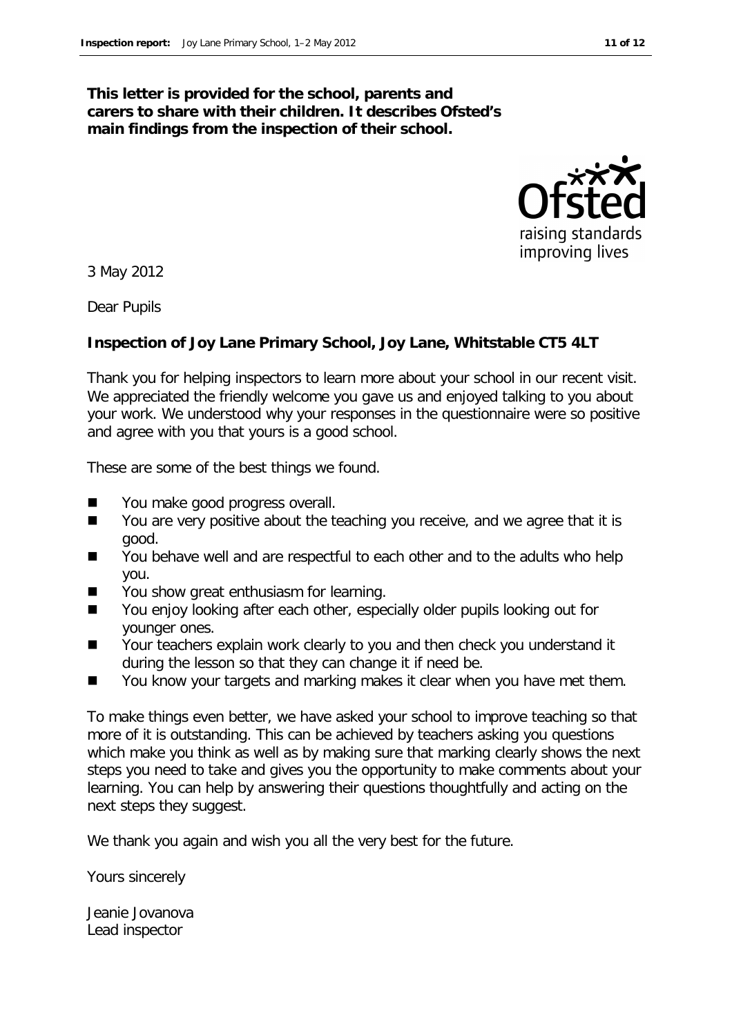#### **This letter is provided for the school, parents and carers to share with their children. It describes Ofsted's main findings from the inspection of their school.**



3 May 2012

Dear Pupils

#### **Inspection of Joy Lane Primary School, Joy Lane, Whitstable CT5 4LT**

Thank you for helping inspectors to learn more about your school in our recent visit. We appreciated the friendly welcome you gave us and enjoyed talking to you about your work. We understood why your responses in the questionnaire were so positive and agree with you that yours is a good school.

These are some of the best things we found.

- You make good progress overall.
- You are very positive about the teaching you receive, and we agree that it is good.
- You behave well and are respectful to each other and to the adults who help you.
- You show great enthusiasm for learning.
- You enjoy looking after each other, especially older pupils looking out for younger ones.
- Your teachers explain work clearly to you and then check you understand it during the lesson so that they can change it if need be.
- You know your targets and marking makes it clear when you have met them.

To make things even better, we have asked your school to improve teaching so that more of it is outstanding. This can be achieved by teachers asking you questions which make you think as well as by making sure that marking clearly shows the next steps you need to take and gives you the opportunity to make comments about your learning. You can help by answering their questions thoughtfully and acting on the next steps they suggest.

We thank you again and wish you all the very best for the future.

Yours sincerely

Jeanie Jovanova Lead inspector